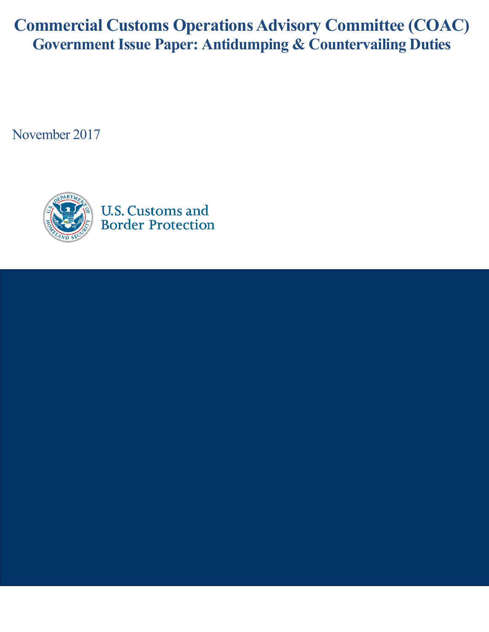**Commercial Customs Operations Advisory Committee (COAC) Government Issue Paper: Antidumping & Countervailing Duties**

November 2017